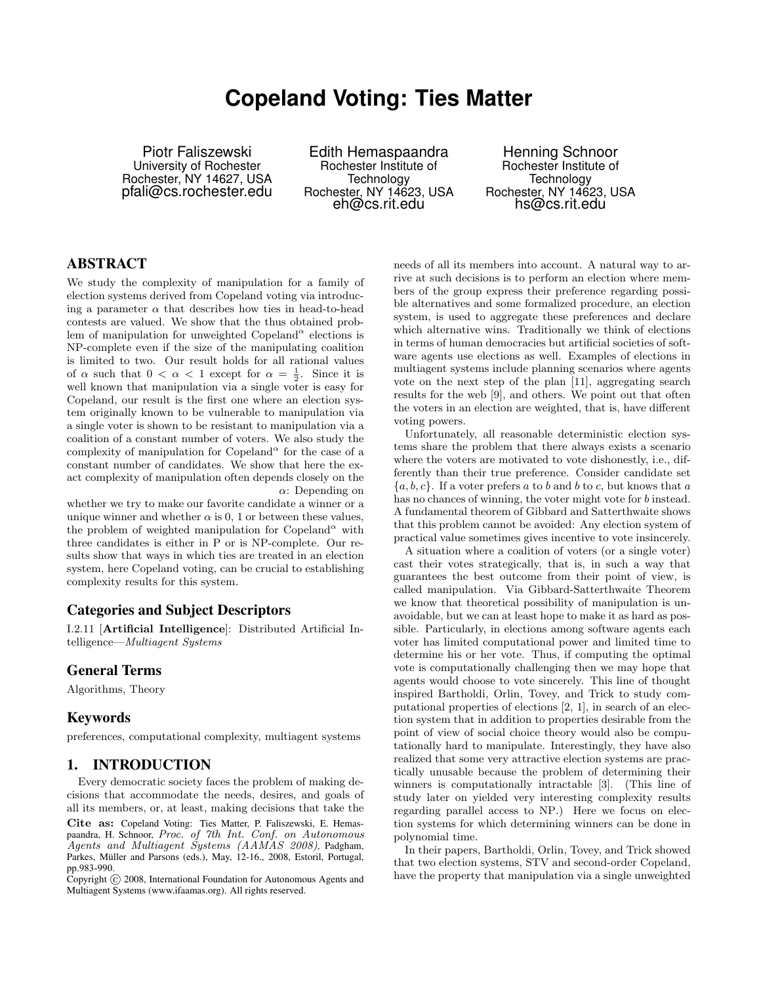# **Copeland Voting: Ties Matter**

Piotr Faliszewski University of Rochester Rochester, NY 14627, USA pfali@cs.rochester.edu

Edith Hemaspaandra Rochester Institute of **Technology** Rochester, NY 14623, USA eh@cs.rit.edu

Henning Schnoor Rochester Institute of Technology Rochester, NY 14623, USA hs@cs.rit.edu

# ABSTRACT

We study the complexity of manipulation for a family of election systems derived from Copeland voting via introducing a parameter  $\alpha$  that describes how ties in head-to-head contests are valued. We show that the thus obtained problem of manipulation for unweighted Copeland<sup> $\alpha$ </sup> elections is NP-complete even if the size of the manipulating coalition is limited to two. Our result holds for all rational values of  $\alpha$  such that  $0 < \alpha < 1$  except for  $\alpha = \frac{1}{2}$ . Since it is well known that manipulation via a single voter is easy for Copeland, our result is the first one where an election system originally known to be vulnerable to manipulation via a single voter is shown to be resistant to manipulation via a coalition of a constant number of voters. We also study the complexity of manipulation for Copeland<sup> $\alpha$ </sup> for the case of a constant number of candidates. We show that here the exact complexity of manipulation often depends closely on the  $\alpha$ : Depending on

whether we try to make our favorite candidate a winner or a unique winner and whether  $\alpha$  is 0, 1 or between these values, the problem of weighted manipulation for Copeland<sup> $\alpha$ </sup> with three candidates is either in P or is NP-complete. Our results show that ways in which ties are treated in an election system, here Copeland voting, can be crucial to establishing complexity results for this system.

#### Categories and Subject Descriptors

I.2.11 [Artificial Intelligence]: Distributed Artificial Intelligence—Multiagent Systems

#### General Terms

Algorithms, Theory

## Keywords

preferences, computational complexity, multiagent systems

# 1. INTRODUCTION

Every democratic society faces the problem of making decisions that accommodate the needs, desires, and goals of all its members, or, at least, making decisions that take the

Cite as: Copeland Voting: Ties Matter, P. Faliszewski, E. Hemaspaandra, H. Schnoor, Proc. of 7th Int. Conf. on Autonomous Agents and Multiagent Systems (AAMAS 2008), Padgham, Parkes, Müller and Parsons (eds.), May, 12-16., 2008, Estoril, Portugal, pp.983-990.

 $\overline{C}$ opyright  $\overline{C}$  2008, International Foundation for Autonomous Agents and Multiagent Systems (www.ifaamas.org). All rights reserved.

needs of all its members into account. A natural way to arrive at such decisions is to perform an election where members of the group express their preference regarding possible alternatives and some formalized procedure, an election system, is used to aggregate these preferences and declare which alternative wins. Traditionally we think of elections in terms of human democracies but artificial societies of software agents use elections as well. Examples of elections in multiagent systems include planning scenarios where agents vote on the next step of the plan [11], aggregating search results for the web [9], and others. We point out that often the voters in an election are weighted, that is, have different voting powers.

Unfortunately, all reasonable deterministic election systems share the problem that there always exists a scenario where the voters are motivated to vote dishonestly, i.e., differently than their true preference. Consider candidate set  ${a, b, c}$ . If a voter prefers a to b and b to c, but knows that a has no chances of winning, the voter might vote for b instead. A fundamental theorem of Gibbard and Satterthwaite shows that this problem cannot be avoided: Any election system of practical value sometimes gives incentive to vote insincerely.

A situation where a coalition of voters (or a single voter) cast their votes strategically, that is, in such a way that guarantees the best outcome from their point of view, is called manipulation. Via Gibbard-Satterthwaite Theorem we know that theoretical possibility of manipulation is unavoidable, but we can at least hope to make it as hard as possible. Particularly, in elections among software agents each voter has limited computational power and limited time to determine his or her vote. Thus, if computing the optimal vote is computationally challenging then we may hope that agents would choose to vote sincerely. This line of thought inspired Bartholdi, Orlin, Tovey, and Trick to study computational properties of elections [2, 1], in search of an election system that in addition to properties desirable from the point of view of social choice theory would also be computationally hard to manipulate. Interestingly, they have also realized that some very attractive election systems are practically unusable because the problem of determining their winners is computationally intractable [3]. (This line of study later on yielded very interesting complexity results regarding parallel access to NP.) Here we focus on election systems for which determining winners can be done in polynomial time.

In their papers, Bartholdi, Orlin, Tovey, and Trick showed that two election systems, STV and second-order Copeland, have the property that manipulation via a single unweighted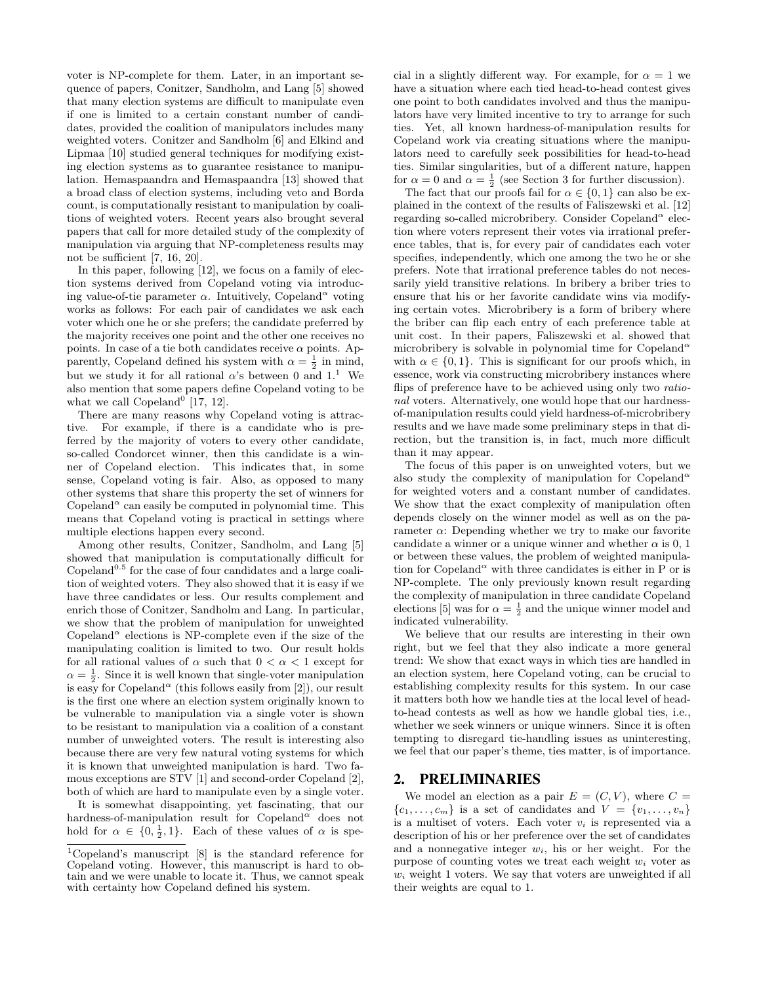voter is NP-complete for them. Later, in an important sequence of papers, Conitzer, Sandholm, and Lang [5] showed that many election systems are difficult to manipulate even if one is limited to a certain constant number of candidates, provided the coalition of manipulators includes many weighted voters. Conitzer and Sandholm [6] and Elkind and Lipmaa [10] studied general techniques for modifying existing election systems as to guarantee resistance to manipulation. Hemaspaandra and Hemaspaandra [13] showed that a broad class of election systems, including veto and Borda count, is computationally resistant to manipulation by coalitions of weighted voters. Recent years also brought several papers that call for more detailed study of the complexity of manipulation via arguing that NP-completeness results may not be sufficient [7, 16, 20].

In this paper, following [12], we focus on a family of election systems derived from Copeland voting via introducing value-of-tie parameter  $\alpha$ . Intuitively, Copeland<sup> $\alpha$ </sup> voting works as follows: For each pair of candidates we ask each voter which one he or she prefers; the candidate preferred by the majority receives one point and the other one receives no points. In case of a tie both candidates receive  $\alpha$  points. Apparently, Copeland defined his system with  $\alpha = \frac{1}{2}$  in mind, but we study it for all rational  $\alpha$ 's between 0 and 1.<sup>1</sup> We also mention that some papers define Copeland voting to be what we call Copeland<sup>0</sup> [17, 12].

There are many reasons why Copeland voting is attractive. For example, if there is a candidate who is preferred by the majority of voters to every other candidate, so-called Condorcet winner, then this candidate is a winner of Copeland election. This indicates that, in some sense, Copeland voting is fair. Also, as opposed to many other systems that share this property the set of winners for Copeland<sup> $\alpha$ </sup> can easily be computed in polynomial time. This means that Copeland voting is practical in settings where multiple elections happen every second.

Among other results, Conitzer, Sandholm, and Lang [5] showed that manipulation is computationally difficult for Copeland $0.5$  for the case of four candidates and a large coalition of weighted voters. They also showed that it is easy if we have three candidates or less. Our results complement and enrich those of Conitzer, Sandholm and Lang. In particular, we show that the problem of manipulation for unweighted Copeland<sup> $\alpha$ </sup> elections is NP-complete even if the size of the manipulating coalition is limited to two. Our result holds for all rational values of  $\alpha$  such that  $0 < \alpha < 1$  except for  $\alpha = \frac{1}{2}$ . Since it is well known that single-voter manipulation is easy for Copeland<sup> $\alpha$ </sup> (this follows easily from [2]), our result is the first one where an election system originally known to be vulnerable to manipulation via a single voter is shown to be resistant to manipulation via a coalition of a constant number of unweighted voters. The result is interesting also because there are very few natural voting systems for which it is known that unweighted manipulation is hard. Two famous exceptions are STV [1] and second-order Copeland [2], both of which are hard to manipulate even by a single voter.

It is somewhat disappointing, yet fascinating, that our hardness-of-manipulation result for Copeland<sup> $\alpha$ </sup> does not hold for  $\alpha \in \{0, \frac{1}{2}, 1\}$ . Each of these values of  $\alpha$  is special in a slightly different way. For example, for  $\alpha = 1$  we have a situation where each tied head-to-head contest gives one point to both candidates involved and thus the manipulators have very limited incentive to try to arrange for such ties. Yet, all known hardness-of-manipulation results for Copeland work via creating situations where the manipulators need to carefully seek possibilities for head-to-head ties. Similar singularities, but of a different nature, happen for  $\alpha = 0$  and  $\alpha = \frac{1}{2}$  (see Section 3 for further discussion).

The fact that our proofs fail for  $\alpha \in \{0,1\}$  can also be explained in the context of the results of Faliszewski et al. [12] regarding so-called microbribery. Consider Copeland<sup>«</sup> election where voters represent their votes via irrational preference tables, that is, for every pair of candidates each voter specifies, independently, which one among the two he or she prefers. Note that irrational preference tables do not necessarily yield transitive relations. In bribery a briber tries to ensure that his or her favorite candidate wins via modifying certain votes. Microbribery is a form of bribery where the briber can flip each entry of each preference table at unit cost. In their papers, Faliszewski et al. showed that microbribery is solvable in polynomial time for Copeland<sup>a</sup> with  $\alpha \in \{0, 1\}$ . This is significant for our proofs which, in essence, work via constructing microbribery instances where flips of preference have to be achieved using only two rational voters. Alternatively, one would hope that our hardnessof-manipulation results could yield hardness-of-microbribery results and we have made some preliminary steps in that direction, but the transition is, in fact, much more difficult than it may appear.

The focus of this paper is on unweighted voters, but we also study the complexity of manipulation for Copeland<sup> $\alpha$ </sup> for weighted voters and a constant number of candidates. We show that the exact complexity of manipulation often depends closely on the winner model as well as on the parameter  $\alpha$ : Depending whether we try to make our favorite candidate a winner or a unique winner and whether  $\alpha$  is 0, 1 or between these values, the problem of weighted manipulation for Copeland<sup> $\alpha$ </sup> with three candidates is either in P or is NP-complete. The only previously known result regarding the complexity of manipulation in three candidate Copeland elections [5] was for  $\alpha = \frac{1}{2}$  and the unique winner model and indicated vulnerability.

We believe that our results are interesting in their own right, but we feel that they also indicate a more general trend: We show that exact ways in which ties are handled in an election system, here Copeland voting, can be crucial to establishing complexity results for this system. In our case it matters both how we handle ties at the local level of headto-head contests as well as how we handle global ties, i.e., whether we seek winners or unique winners. Since it is often tempting to disregard tie-handling issues as uninteresting, we feel that our paper's theme, ties matter, is of importance.

#### 2. PRELIMINARIES

We model an election as a pair  $E = (C, V)$ , where  $C =$  $\{c_1, \ldots, c_m\}$  is a set of candidates and  $V = \{v_1, \ldots, v_n\}$ is a multiset of voters. Each voter  $v_i$  is represented via a description of his or her preference over the set of candidates and a nonnegative integer  $w_i$ , his or her weight. For the purpose of counting votes we treat each weight  $w_i$  voter as  $w<sub>i</sub>$  weight 1 voters. We say that voters are unweighted if all their weights are equal to 1.

<sup>1</sup>Copeland's manuscript [8] is the standard reference for Copeland voting. However, this manuscript is hard to obtain and we were unable to locate it. Thus, we cannot speak with certainty how Copeland defined his system.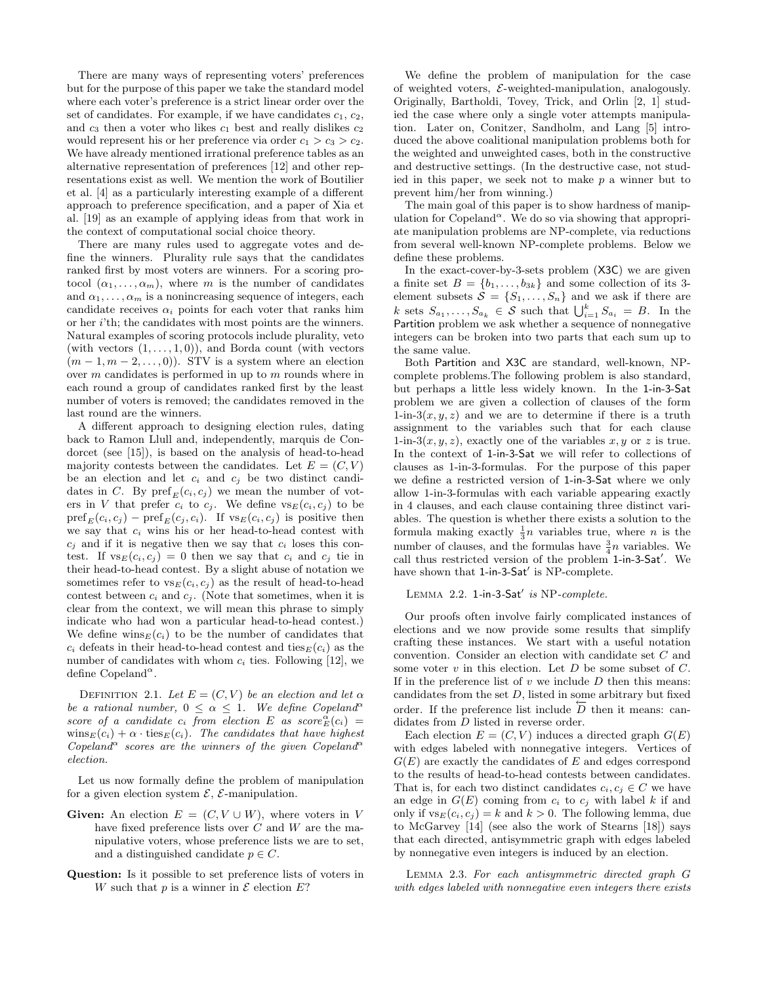There are many ways of representing voters' preferences but for the purpose of this paper we take the standard model where each voter's preference is a strict linear order over the set of candidates. For example, if we have candidates  $c_1, c_2$ , and  $c_3$  then a voter who likes  $c_1$  best and really dislikes  $c_2$ would represent his or her preference via order  $c_1 > c_3 > c_2$ . We have already mentioned irrational preference tables as an alternative representation of preferences [12] and other representations exist as well. We mention the work of Boutilier et al. [4] as a particularly interesting example of a different approach to preference specification, and a paper of Xia et al. [19] as an example of applying ideas from that work in the context of computational social choice theory.

There are many rules used to aggregate votes and define the winners. Plurality rule says that the candidates ranked first by most voters are winners. For a scoring protocol  $(\alpha_1, \ldots, \alpha_m)$ , where m is the number of candidates and  $\alpha_1, \ldots, \alpha_m$  is a nonincreasing sequence of integers, each candidate receives  $\alpha_i$  points for each voter that ranks him or her i'th; the candidates with most points are the winners. Natural examples of scoring protocols include plurality, veto (with vectors  $(1, \ldots, 1, 0)$ ), and Borda count (with vectors  $(m-1, m-2, \ldots, 0))$ . STV is a system where an election over m candidates is performed in up to m rounds where in each round a group of candidates ranked first by the least number of voters is removed; the candidates removed in the last round are the winners.

A different approach to designing election rules, dating back to Ramon Llull and, independently, marquis de Condorcet (see [15]), is based on the analysis of head-to-head majority contests between the candidates. Let  $E = (C, V)$ be an election and let  $c_i$  and  $c_j$  be two distinct candidates in C. By  $\text{pref}_E(c_i, c_j)$  we mean the number of voters in V that prefer  $c_i$  to  $c_j$ . We define  $\text{vs}_E(c_i, c_j)$  to be  $\text{pref}_E(c_i, c_j) - \text{pref}_E(c_j, c_i)$ . If  $\text{vs}_E(c_i, c_j)$  is positive then we say that  $c_i$  wins his or her head-to-head contest with  $c_i$  and if it is negative then we say that  $c_i$  loses this contest. If  $\text{vs}_E(c_i, c_j) = 0$  then we say that  $c_i$  and  $c_j$  tie in their head-to-head contest. By a slight abuse of notation we sometimes refer to  $\text{vs}_{E}(c_i, c_j)$  as the result of head-to-head contest between  $c_i$  and  $c_j$ . (Note that sometimes, when it is clear from the context, we will mean this phrase to simply indicate who had won a particular head-to-head contest.) We define  $\text{wins}_E(c_i)$  to be the number of candidates that  $c_i$  defeats in their head-to-head contest and ties $E(c_i)$  as the number of candidates with whom  $c_i$  ties. Following [12], we define Copeland<sup> $\alpha$ </sup>.

DEFINITION 2.1. Let  $E = (C, V)$  be an election and let  $\alpha$ be a rational number,  $0 \leq \alpha \leq 1$ . We define Copeland<sup>a</sup> score of a candidate  $c_i$  from election E as score  $\frac{\alpha}{E}(c_i)$  =  $\text{wins}_E(c_i) + \alpha \cdot \text{ties}_E(c_i)$ . The candidates that have highest Copeland<sup> $\alpha$ </sup> scores are the winners of the given Copeland<sup> $\alpha$ </sup> election.

Let us now formally define the problem of manipulation for a given election system  $\mathcal{E}$ ,  $\mathcal{E}$ -manipulation.

- Given: An election  $E = (C, V \cup W)$ , where voters in V have fixed preference lists over  $C$  and  $W$  are the manipulative voters, whose preference lists we are to set, and a distinguished candidate  $p \in C$ .
- Question: Is it possible to set preference lists of voters in W such that p is a winner in  $\mathcal E$  election E?

We define the problem of manipulation for the case of weighted voters,  $\mathcal{E}\text{-weighted-manipulation}$ , analogously. Originally, Bartholdi, Tovey, Trick, and Orlin [2, 1] studied the case where only a single voter attempts manipulation. Later on, Conitzer, Sandholm, and Lang [5] introduced the above coalitional manipulation problems both for the weighted and unweighted cases, both in the constructive and destructive settings. (In the destructive case, not studied in this paper, we seek not to make  $p$  a winner but to prevent him/her from winning.)

The main goal of this paper is to show hardness of manipulation for Copeland<sup> $\alpha$ </sup>. We do so via showing that appropriate manipulation problems are NP-complete, via reductions from several well-known NP-complete problems. Below we define these problems.

In the exact-cover-by-3-sets problem (X3C) we are given a finite set  $B = \{b_1, \ldots, b_{3k}\}\$ and some collection of its 3element subsets  $S = \{S_1, \ldots, S_n\}$  and we ask if there are k sets  $S_{a_1}, \ldots, S_{a_k} \in \mathcal{S}$  such that  $\bigcup_{i=1}^k S_{a_i} = B$ . In the Partition problem we ask whether a sequence of nonnegative integers can be broken into two parts that each sum up to the same value.

Both Partition and X3C are standard, well-known, NPcomplete problems.The following problem is also standard, but perhaps a little less widely known. In the 1-in-3-Sat problem we are given a collection of clauses of the form 1-in-3 $(x, y, z)$  and we are to determine if there is a truth assignment to the variables such that for each clause 1-in-3 $(x, y, z)$ , exactly one of the variables  $x, y$  or z is true. In the context of 1-in-3-Sat we will refer to collections of clauses as 1-in-3-formulas. For the purpose of this paper we define a restricted version of 1-in-3-Sat where we only allow 1-in-3-formulas with each variable appearing exactly in 4 clauses, and each clause containing three distinct variables. The question is whether there exists a solution to the formula making exactly  $\frac{1}{3}n$  variables true, where *n* is the number of clauses, and the formulas have  $\frac{3}{4}n$  variables. We call thus restricted version of the problem 1-in-3-Sat'. We have shown that 1-in-3-Sat' is NP-complete.

#### LEMMA 2.2.  $1$ -in-3-Sat' is NP-complete.

Our proofs often involve fairly complicated instances of elections and we now provide some results that simplify crafting these instances. We start with a useful notation convention. Consider an election with candidate set C and some voter  $v$  in this election. Let  $D$  be some subset of  $C$ . If in the preference list of  $v$  we include  $D$  then this means: candidates from the set  $D$ , listed in some arbitrary but fixed order. If the preference list include  $\overline{D}$  then it means: candidates from  $D$  listed in reverse order.

Each election  $E = (C, V)$  induces a directed graph  $G(E)$ with edges labeled with nonnegative integers. Vertices of  $G(E)$  are exactly the candidates of E and edges correspond to the results of head-to-head contests between candidates. That is, for each two distinct candidates  $c_i, c_j \in C$  we have an edge in  $G(E)$  coming from  $c_i$  to  $c_j$  with label k if and only if  $\text{vs}_E(c_i, c_j) = k$  and  $k > 0$ . The following lemma, due to McGarvey [14] (see also the work of Stearns [18]) says that each directed, antisymmetric graph with edges labeled by nonnegative even integers is induced by an election.

Lemma 2.3. For each antisymmetric directed graph G with edges labeled with nonnegative even integers there exists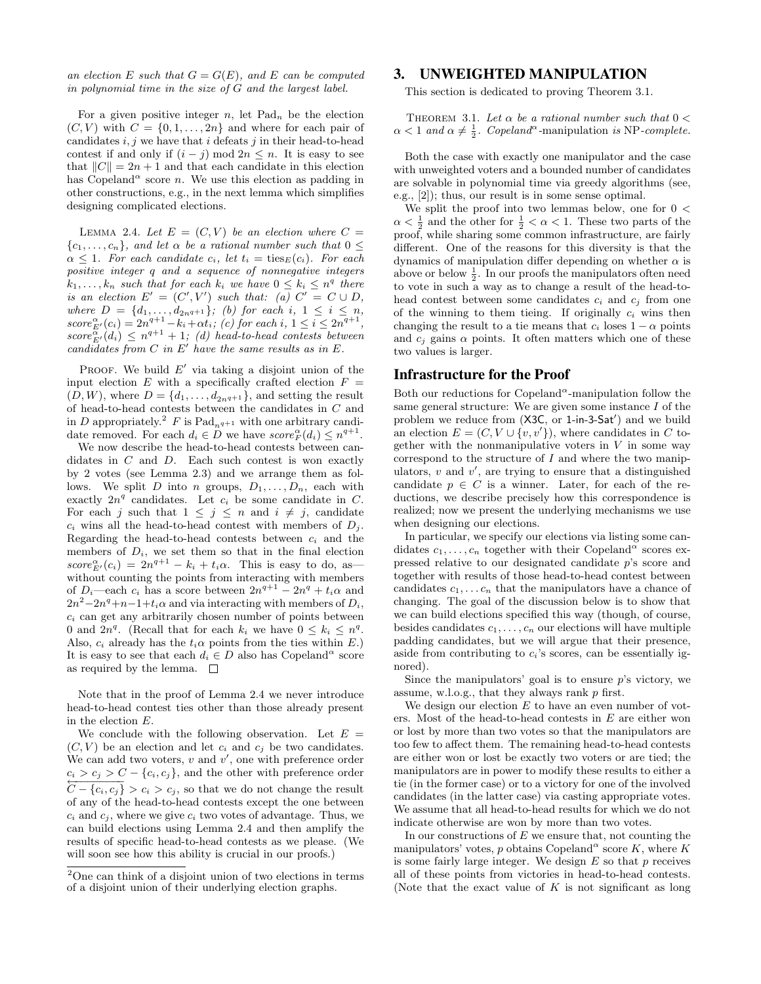an election E such that  $G = G(E)$ , and E can be computed in polynomial time in the size of G and the largest label.

For a given positive integer n, let  $\text{Pad}_n$  be the election  $(C, V)$  with  $C = \{0, 1, \ldots, 2n\}$  and where for each pair of candidates  $i, j$  we have that i defeats j in their head-to-head contest if and only if  $(i - j) \mod 2n \leq n$ . It is easy to see that  $||C|| = 2n + 1$  and that each candidate in this election has Copeland<sup> $\alpha$ </sup> score *n*. We use this election as padding in other constructions, e.g., in the next lemma which simplifies designing complicated elections.

LEMMA 2.4. Let  $E = (C, V)$  be an election where  $C =$  $\{c_1, \ldots, c_n\}$ , and let  $\alpha$  be a rational number such that  $0 \leq$  $\alpha \leq 1$ . For each candidate  $c_i$ , let  $t_i = \text{ties}_E(c_i)$ . For each positive integer q and a sequence of nonnegative integers  $k_1, \ldots, k_n$  such that for each  $k_i$  we have  $0 \leq k_i \leq n^q$  there is an election  $E' = (C', V')$  such that: (a)  $C' = C \cup D$ , where  $D = \{d_1, ..., d_{2nq+1}\};$  (b) for each i,  $1 \leq i \leq n$ ,  $score_{E'}^{\alpha}(c_i) = 2n^{q+1} - k_i + \alpha t_i$ ; (c) for each i,  $1 \le i \le 2n^{q+1}$ ,  $score_{E'}^{\alpha}(d_i) \leq n^{q+1} + 1$ ; (d) head-to-head contests between candidates from  $C$  in  $E'$  have the same results as in  $E$ .

PROOF. We build  $E'$  via taking a disjoint union of the input election E with a specifically crafted election  $F =$  $(D, W)$ , where  $D = \{d_1, \ldots, d_{2nq+1}\}$ , and setting the result of head-to-head contests between the candidates in C and in D appropriately.<sup>2</sup> F is Pad<sub>nq+1</sub> with one arbitrary candidate removed. For each  $d_i \in D$  we have  $score_F^{\alpha}(d_i) \leq n^{q+1}$ .

We now describe the head-to-head contests between candidates in  $C$  and  $D$ . Each such contest is won exactly by 2 votes (see Lemma 2.3) and we arrange them as follows. We split D into n groups,  $D_1, \ldots, D_n$ , each with exactly  $2n^q$  candidates. Let  $c_i$  be some candidate in C. For each j such that  $1 \leq j \leq n$  and  $i \neq j$ , candidate  $c_i$  wins all the head-to-head contest with members of  $D_i$ . Regarding the head-to-head contests between  $c_i$  and the members of  $D_i$ , we set them so that in the final election  $score_{E'}^{\alpha}(c_i) = 2n^{q+1} - k_i + t_i\alpha$ . This is easy to do, as without counting the points from interacting with members of  $D_i$ —each  $c_i$  has a score between  $2n^{q+1} - 2n^q + t_i \alpha$  and  $2n^2-2n^q+n-1+t_i\alpha$  and via interacting with members of  $D_i$ ,  $c_i$  can get any arbitrarily chosen number of points between 0 and  $2n^q$ . (Recall that for each  $k_i$  we have  $0 \leq k_i \leq n^q$ . Also,  $c_i$  already has the  $t_i \alpha$  points from the ties within E.) It is easy to see that each  $d_i \in D$  also has Copeland<sup> $\alpha$ </sup> score as required by the lemma.  $\square$ 

Note that in the proof of Lemma 2.4 we never introduce head-to-head contest ties other than those already present in the election E.

We conclude with the following observation. Let  $E =$  $(C, V)$  be an election and let  $c_i$  and  $c_j$  be two candidates. We can add two voters,  $v$  and  $v'$ , one with preference order  $c_i > c_j > C - \{c_i, c_j\}$ , and the other with preference order  $C - \{c_i, c_j\} > c_i > c_j$ , so that we do not change the result of any of the head-to-head contests except the one between  $c_i$  and  $c_j$ , where we give  $c_i$  two votes of advantage. Thus, we can build elections using Lemma 2.4 and then amplify the results of specific head-to-head contests as we please. (We will soon see how this ability is crucial in our proofs.)

#### 3. UNWEIGHTED MANIPULATION

This section is dedicated to proving Theorem 3.1.

THEOREM 3.1. Let  $\alpha$  be a rational number such that  $0 <$  $\alpha < 1$  and  $\alpha \neq \frac{1}{2}$ . Copeland<sup> $\alpha$ </sup>-manipulation is NP-complete.

Both the case with exactly one manipulator and the case with unweighted voters and a bounded number of candidates are solvable in polynomial time via greedy algorithms (see, e.g., [2]); thus, our result is in some sense optimal.

We split the proof into two lemmas below, one for  $0 <$  $\alpha < \frac{1}{2}$  and the other for  $\frac{1}{2} < \alpha < 1$ . These two parts of the proof, while sharing some common infrastructure, are fairly different. One of the reasons for this diversity is that the dynamics of manipulation differ depending on whether  $\alpha$  is above or below  $\frac{1}{2}$ . In our proofs the manipulators often need to vote in such a way as to change a result of the head-tohead contest between some candidates  $c_i$  and  $c_j$  from one of the winning to them tieing. If originally  $c_i$  wins then changing the result to a tie means that  $c_i$  loses  $1 - \alpha$  points and  $c_i$  gains  $\alpha$  points. It often matters which one of these two values is larger.

#### Infrastructure for the Proof

Both our reductions for Copeland<sup> $\alpha$ </sup>-manipulation follow the same general structure: We are given some instance I of the problem we reduce from (X3C, or 1-in-3-Sat') and we build an election  $E = (C, V \cup \{v, v'\})$ , where candidates in C together with the nonmanipulative voters in  $V$  in some way correspond to the structure of  $I$  and where the two manipulators,  $v$  and  $v'$ , are trying to ensure that a distinguished candidate  $p \in C$  is a winner. Later, for each of the reductions, we describe precisely how this correspondence is realized; now we present the underlying mechanisms we use when designing our elections.

In particular, we specify our elections via listing some candidates  $c_1, \ldots, c_n$  together with their Copeland<sup> $\alpha$ </sup> scores expressed relative to our designated candidate p's score and together with results of those head-to-head contest between candidates  $c_1, \ldots c_n$  that the manipulators have a chance of changing. The goal of the discussion below is to show that we can build elections specified this way (though, of course, besides candidates  $c_1, \ldots, c_n$  our elections will have multiple padding candidates, but we will argue that their presence, aside from contributing to  $c_i$ 's scores, can be essentially ignored).

Since the manipulators' goal is to ensure  $p$ 's victory, we assume, w.l.o.g., that they always rank p first.

We design our election  $E$  to have an even number of voters. Most of the head-to-head contests in E are either won or lost by more than two votes so that the manipulators are too few to affect them. The remaining head-to-head contests are either won or lost be exactly two voters or are tied; the manipulators are in power to modify these results to either a tie (in the former case) or to a victory for one of the involved candidates (in the latter case) via casting appropriate votes. We assume that all head-to-head results for which we do not indicate otherwise are won by more than two votes.

In our constructions of  $E$  we ensure that, not counting the manipulators' votes, p obtains Copeland<sup> $\alpha$ </sup> score K, where K is some fairly large integer. We design  $E$  so that  $p$  receives all of these points from victories in head-to-head contests. (Note that the exact value of  $K$  is not significant as long

<sup>2</sup>One can think of a disjoint union of two elections in terms of a disjoint union of their underlying election graphs.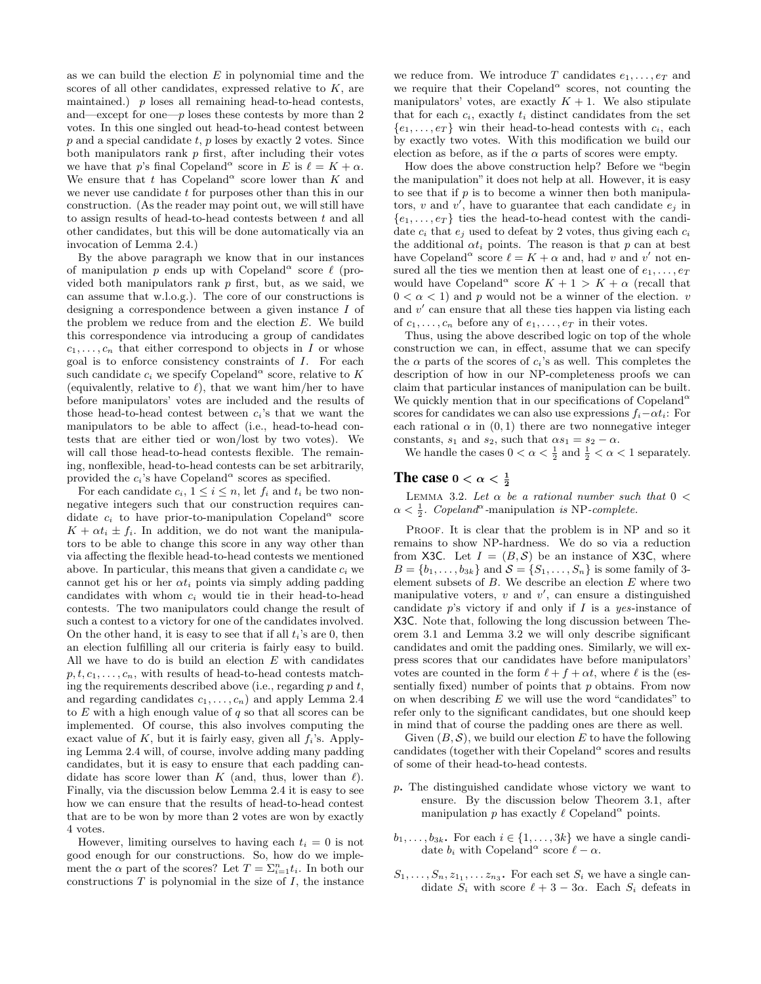as we can build the election  $E$  in polynomial time and the scores of all other candidates, expressed relative to  $K$ , are maintained.)  $p$  loses all remaining head-to-head contests, and—except for one— $p$  loses these contests by more than 2 votes. In this one singled out head-to-head contest between  $p$  and a special candidate  $t$ ,  $p$  loses by exactly 2 votes. Since both manipulators rank  $p$  first, after including their votes we have that p's final Copeland<sup> $\alpha$ </sup> score in E is  $\ell = K + \alpha$ . We ensure that t has Copeland<sup> $\alpha$ </sup> score lower than K and we never use candidate t for purposes other than this in our construction. (As the reader may point out, we will still have to assign results of head-to-head contests between t and all other candidates, but this will be done automatically via an invocation of Lemma 2.4.)

By the above paragraph we know that in our instances of manipulation  $p$  ends up with Copeland<sup> $\alpha$ </sup> score  $\ell$  (provided both manipulators rank  $p$  first, but, as we said, we can assume that w.l.o.g.). The core of our constructions is designing a correspondence between a given instance I of the problem we reduce from and the election  $E$ . We build this correspondence via introducing a group of candidates  $c_1, \ldots, c_n$  that either correspond to objects in I or whose goal is to enforce consistency constraints of I. For each such candidate  $c_i$  we specify Copeland<sup> $\alpha$ </sup> score, relative to K (equivalently, relative to  $\ell$ ), that we want him/her to have before manipulators' votes are included and the results of those head-to-head contest between  $c_i$ 's that we want the manipulators to be able to affect (i.e., head-to-head contests that are either tied or won/lost by two votes). We will call those head-to-head contests flexible. The remaining, nonflexible, head-to-head contests can be set arbitrarily, provided the  $c_i$ 's have Copeland<sup> $\alpha$ </sup> scores as specified.

For each candidate  $c_i$ ,  $1 \leq i \leq n$ , let  $f_i$  and  $t_i$  be two nonnegative integers such that our construction requires candidate  $c_i$  to have prior-to-manipulation Copeland<sup> $\alpha$ </sup> score  $K + \alpha t_i \pm f_i$ . In addition, we do not want the manipulators to be able to change this score in any way other than via affecting the flexible head-to-head contests we mentioned above. In particular, this means that given a candidate  $c_i$  we cannot get his or her  $\alpha t_i$  points via simply adding padding candidates with whom  $c_i$  would tie in their head-to-head contests. The two manipulators could change the result of such a contest to a victory for one of the candidates involved. On the other hand, it is easy to see that if all  $t_i$ 's are 0, then an election fulfilling all our criteria is fairly easy to build. All we have to do is build an election  $E$  with candidates  $p, t, c_1, \ldots, c_n$ , with results of head-to-head contests matching the requirements described above (i.e., regarding  $p$  and  $t$ , and regarding candidates  $c_1, \ldots, c_n$  and apply Lemma 2.4 to  $E$  with a high enough value of  $q$  so that all scores can be implemented. Of course, this also involves computing the exact value of  $K$ , but it is fairly easy, given all  $f_i$ 's. Applying Lemma 2.4 will, of course, involve adding many padding candidates, but it is easy to ensure that each padding candidate has score lower than K (and, thus, lower than  $\ell$ ). Finally, via the discussion below Lemma 2.4 it is easy to see how we can ensure that the results of head-to-head contest that are to be won by more than 2 votes are won by exactly 4 votes.

However, limiting ourselves to having each  $t_i = 0$  is not good enough for our constructions. So, how do we implement the  $\alpha$  part of the scores? Let  $T = \sum_{i=1}^{n} t_i$ . In both our constructions  $T$  is polynomial in the size of  $I$ , the instance we reduce from. We introduce T candidates  $e_1, \ldots, e_T$  and we require that their Copeland<sup> $\alpha$ </sup> scores, not counting the manipulators' votes, are exactly  $K + 1$ . We also stipulate that for each  $c_i$ , exactly  $t_i$  distinct candidates from the set  $\{e_1, \ldots, e_T\}$  win their head-to-head contests with  $c_i$ , each by exactly two votes. With this modification we build our election as before, as if the  $\alpha$  parts of scores were empty.

How does the above construction help? Before we "begin the manipulation" it does not help at all. However, it is easy to see that if  $p$  is to become a winner then both manipulators, v and v', have to guarantee that each candidate  $e_j$  in  $\{e_1, \ldots, e_T\}$  ties the head-to-head contest with the candidate  $c_i$  that  $e_j$  used to defeat by 2 votes, thus giving each  $c_i$ the additional  $\alpha t_i$  points. The reason is that p can at best have Copeland<sup> $\alpha$ </sup> score  $\ell = K + \alpha$  and, had v and v' not ensured all the ties we mention then at least one of  $e_1, \ldots, e_T$ would have Copeland<sup> $\alpha$ </sup> score  $K + 1 > K + \alpha$  (recall that  $0 < \alpha < 1$ ) and p would not be a winner of the election. v and  $v'$  can ensure that all these ties happen via listing each of  $c_1, \ldots, c_n$  before any of  $e_1, \ldots, e_T$  in their votes.

Thus, using the above described logic on top of the whole construction we can, in effect, assume that we can specify the  $\alpha$  parts of the scores of  $c_i$ 's as well. This completes the description of how in our NP-completeness proofs we can claim that particular instances of manipulation can be built. We quickly mention that in our specifications of Copeland<sup>a</sup> scores for candidates we can also use expressions  $f_i - \alpha t_i$ : For each rational  $\alpha$  in  $(0, 1)$  there are two nonnegative integer constants,  $s_1$  and  $s_2$ , such that  $\alpha s_1 = s_2 - \alpha$ .

We handle the cases  $0 < \alpha < \frac{1}{2}$  and  $\frac{1}{2} < \alpha < 1$  separately.

# The case  $0 < \alpha < \frac{1}{2}$

LEMMA 3.2. Let  $\alpha$  be a rational number such that  $0 <$  $\alpha < \frac{1}{2}$ . Copeland<sup> $\alpha$ </sup>-manipulation is NP-complete.

PROOF. It is clear that the problem is in NP and so it remains to show NP-hardness. We do so via a reduction from X3C. Let  $I = (B, S)$  be an instance of X3C, where  $B = \{b_1, \ldots, b_{3k}\}\$ and  $S = \{S_1, \ldots, S_n\}$  is some family of 3element subsets of  $B$ . We describe an election  $E$  where two manipulative voters,  $v$  and  $v'$ , can ensure a distinguished candidate  $p$ 's victory if and only if  $I$  is a yes-instance of X3C. Note that, following the long discussion between Theorem 3.1 and Lemma 3.2 we will only describe significant candidates and omit the padding ones. Similarly, we will express scores that our candidates have before manipulators' votes are counted in the form  $\ell + f + \alpha t$ , where  $\ell$  is the (essentially fixed) number of points that p obtains. From now on when describing  $E$  we will use the word "candidates" to refer only to the significant candidates, but one should keep in mind that of course the padding ones are there as well.

Given  $(B, \mathcal{S})$ , we build our election E to have the following candidates (together with their Copeland<sup> $\alpha$ </sup> scores and results of some of their head-to-head contests.

- p. The distinguished candidate whose victory we want to ensure. By the discussion below Theorem 3.1, after manipulation p has exactly  $\ell$  Copeland<sup> $\alpha$ </sup> points.
- $b_1, \ldots, b_{3k}$ . For each  $i \in \{1, \ldots, 3k\}$  we have a single candidate  $b_i$  with Copeland<sup> $\alpha$ </sup> score  $\ell - \alpha$ .
- $S_1, \ldots, S_n, z_{1_1}, \ldots z_{n_3}$ . For each set  $S_i$  we have a single candidate  $S_i$  with score  $\ell + 3 - 3\alpha$ . Each  $S_i$  defeats in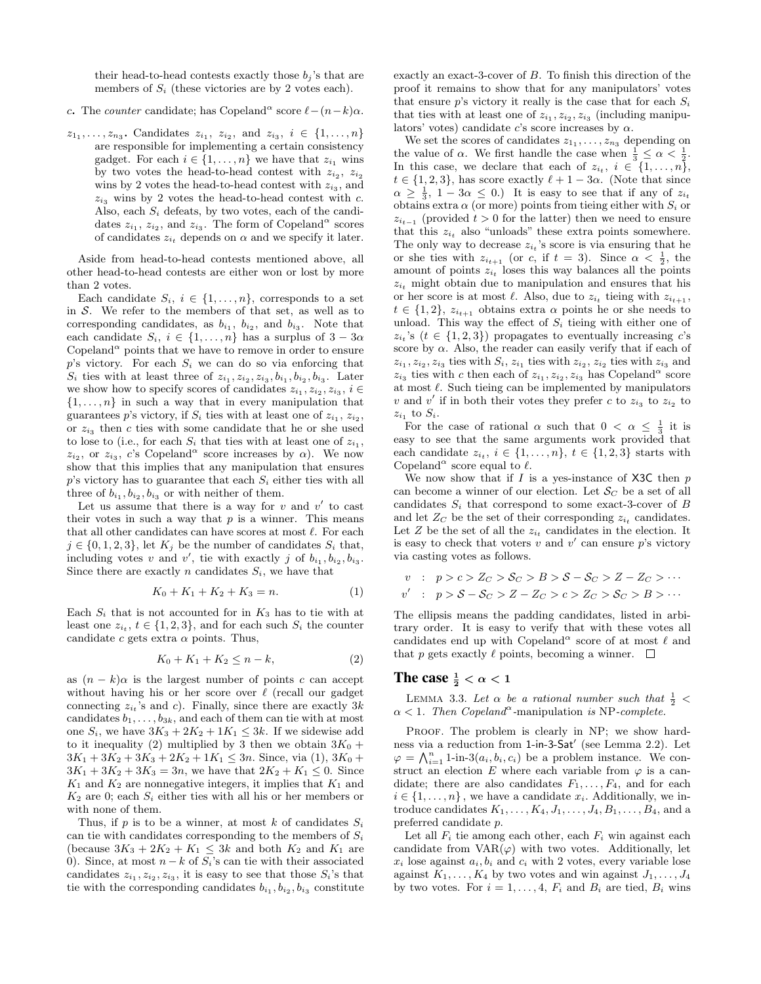their head-to-head contests exactly those  $b_j$ 's that are members of  $S_i$  (these victories are by 2 votes each).

- c. The counter candidate; has Copeland<sup>α</sup> score  $\ell (n-k)\alpha$ .
- $z_1, \ldots, z_{n_3}$ . Candidates  $z_{i_1}, z_{i_2},$  and  $z_{i_3}, i \in \{1, \ldots, n\}$ are responsible for implementing a certain consistency gadget. For each  $i \in \{1, \ldots, n\}$  we have that  $z_{i_1}$  wins by two votes the head-to-head contest with  $z_{i_2}$ ,  $z_{i_2}$ wins by 2 votes the head-to-head contest with  $z_{i_3}$ , and  $z_{i_3}$  wins by 2 votes the head-to-head contest with c. Also, each  $S_i$  defeats, by two votes, each of the candidates  $z_{i_1}$ ,  $z_{i_2}$ , and  $z_{i_3}$ . The form of Copeland<sup> $\alpha$ </sup> scores of candidates  $z_{i_t}$  depends on  $\alpha$  and we specify it later.

Aside from head-to-head contests mentioned above, all other head-to-head contests are either won or lost by more than 2 votes.

Each candidate  $S_i$ ,  $i \in \{1, ..., n\}$ , corresponds to a set in  $S$ . We refer to the members of that set, as well as to corresponding candidates, as  $b_{i_1}$ ,  $b_{i_2}$ , and  $b_{i_3}$ . Note that each candidate  $S_i$ ,  $i \in \{1, ..., n\}$  has a surplus of  $3 - 3\alpha$ Copeland<sup> $\alpha$ </sup> points that we have to remove in order to ensure  $p$ 's victory. For each  $S_i$  we can do so via enforcing that  $S_i$  ties with at least three of  $z_{i_1}, z_{i_2}, z_{i_3}, b_{i_1}, b_{i_2}, b_{i_3}$ . Later we show how to specify scores of candidates  $z_{i_1}, z_{i_2}, z_{i_3}, i \in$  $\{1, \ldots, n\}$  in such a way that in every manipulation that guarantees p's victory, if  $S_i$  ties with at least one of  $z_{i_1}, z_{i_2},$ or  $z_{i_3}$  then c ties with some candidate that he or she used to lose to (i.e., for each  $S_i$  that ties with at least one of  $z_{i_1}$ ,  $z_{i_2}$ , or  $z_{i_3}$ , c's Copeland<sup> $\alpha$ </sup> score increases by  $\alpha$ ). We now show that this implies that any manipulation that ensures  $p$ 's victory has to guarantee that each  $S_i$  either ties with all three of  $b_{i_1}, b_{i_2}, b_{i_3}$  or with neither of them.

Let us assume that there is a way for  $v$  and  $v'$  to cast their votes in such a way that  $p$  is a winner. This means that all other candidates can have scores at most  $\ell$ . For each  $j \in \{0, 1, 2, 3\}$ , let  $K_j$  be the number of candidates  $S_i$  that, including votes v and v', tie with exactly j of  $b_{i_1}, b_{i_2}, b_{i_3}$ . Since there are exactly n candidates  $S_i$ , we have that

$$
K_0 + K_1 + K_2 + K_3 = n. \tag{1}
$$

Each  $S_i$  that is not accounted for in  $K_3$  has to tie with at least one  $z_{i_t}$ ,  $t \in \{1, 2, 3\}$ , and for each such  $S_i$  the counter candidate c gets extra  $\alpha$  points. Thus,

$$
K_0 + K_1 + K_2 \le n - k,\t\t(2)
$$

as  $(n - k)\alpha$  is the largest number of points c can accept without having his or her score over  $\ell$  (recall our gadget connecting  $z_{i_t}$ 's and c). Finally, since there are exactly 3k candidates  $b_1, \ldots, b_{3k}$ , and each of them can tie with at most one  $S_i$ , we have  $3K_3 + 2K_2 + 1K_1 \leq 3k$ . If we sidewise add to it inequality (2) multiplied by 3 then we obtain  $3K_0 +$  $3K_1 + 3K_2 + 3K_3 + 2K_2 + 1K_1 \leq 3n$ . Since, via (1),  $3K_0 +$  $3K_1 + 3K_2 + 3K_3 = 3n$ , we have that  $2K_2 + K_1 \leq 0$ . Since  $K_1$  and  $K_2$  are nonnegative integers, it implies that  $K_1$  and  $K_2$  are 0; each  $S_i$  either ties with all his or her members or with none of them.

Thus, if p is to be a winner, at most k of candidates  $S_i$ can tie with candidates corresponding to the members of  $S_i$ (because  $3K_3 + 2K_2 + K_1 \leq 3k$  and both  $K_2$  and  $K_1$  are 0). Since, at most  $n - k$  of  $S_i$ 's can tie with their associated candidates  $z_{i_1}, z_{i_2}, z_{i_3}$ , it is easy to see that those  $S_i$ 's that tie with the corresponding candidates  $b_{i_1}, b_{i_2}, b_{i_3}$  constitute

exactly an exact-3-cover of B. To finish this direction of the proof it remains to show that for any manipulators' votes that ensure p's victory it really is the case that for each  $S_i$ that ties with at least one of  $z_{i_1}, z_{i_2}, z_{i_3}$  (including manipulators' votes) candidate c's score increases by  $\alpha$ .

We set the scores of candidates  $z_1, \ldots, z_{n_3}$  depending on the value of  $\alpha$ . We first handle the case when  $\frac{1}{3} \leq \alpha < \frac{1}{2}$ . In this case, we declare that each of  $z_{i_t}$ ,  $i \in \{1, \ldots, n\}$ ,  $t \in \{1, 2, 3\}$ , has score exactly  $\ell + 1 - 3\alpha$ . (Note that since  $\alpha \geq \frac{1}{3}$ ,  $1 - 3\alpha \leq 0$ .) It is easy to see that if any of  $z_{i_t}$ obtains extra  $\alpha$  (or more) points from tieing either with  $S_i$  or  $z_{i_{t-1}}$  (provided  $t > 0$  for the latter) then we need to ensure that this  $z_{i_t}$  also "unloads" these extra points somewhere. The only way to decrease  $z_{i_t}$ 's score is via ensuring that he or she ties with  $z_{i_{t+1}}$  (or c, if  $t = 3$ ). Since  $\alpha < \frac{1}{2}$ , the amount of points  $z_{i_t}$  loses this way balances all the points  $z_{i_t}$  might obtain due to manipulation and ensures that his or her score is at most  $\ell$ . Also, due to  $z_{i_t}$  tieing with  $z_{i_{t+1}},$  $t \in \{1, 2\}, z_{i_{t+1}}$  obtains extra  $\alpha$  points he or she needs to unload. This way the effect of  $S_i$  tieing with either one of  $z_i$ 's ( $t \in \{1, 2, 3\}$ ) propagates to eventually increasing c's score by  $\alpha$ . Also, the reader can easily verify that if each of  $z_{i_1}, z_{i_2}, z_{i_3}$  ties with  $S_i, z_{i_1}$  ties with  $z_{i_2}, z_{i_2}$  ties with  $z_{i_3}$  and  $z_{i_3}$  ties with c then each of  $z_{i_1}, z_{i_2}, z_{i_3}$  has Copeland<sup>a</sup> score at most  $\ell$ . Such tieing can be implemented by manipulators v and v' if in both their votes they prefer c to  $z_{i_3}$  to  $z_{i_2}$  to  $z_{i_1}$  to  $S_i$ .

For the case of rational  $\alpha$  such that  $0 < \alpha \leq \frac{1}{3}$  it is easy to see that the same arguments work provided that each candidate  $z_{i_t}$ ,  $i \in \{1, \ldots, n\}$ ,  $t \in \{1, 2, 3\}$  starts with Copeland<sup> $\alpha$ </sup> score equal to  $\ell$ .

We now show that if  $I$  is a yes-instance of X3C then  $p$ can become a winner of our election. Let  $\mathcal{S}_C$  be a set of all candidates  $S_i$  that correspond to some exact-3-cover of  $B$ and let  $Z_C$  be the set of their corresponding  $z_{i_t}$  candidates. Let Z be the set of all the  $z_{i_t}$  candidates in the election. It is easy to check that voters  $v$  and  $v'$  can ensure  $p$ 's victory via casting votes as follows.

$$
v : p > c > Z_C > S_C > B > S - S_C > Z - Z_C > \cdots
$$
  

$$
v' : p > S - S_C > Z - Z_C > c > Z_C > S_C > B > \cdots
$$

The ellipsis means the padding candidates, listed in arbitrary order. It is easy to verify that with these votes all candidates end up with Copeland<sup>α</sup> score of at most  $\ell$  and that p gets exactly  $\ell$  points, becoming a winner.  $\Box$ 

# The case  $\frac{1}{2} < \alpha < 1$

LEMMA 3.3. Let  $\alpha$  be a rational number such that  $\frac{1}{2}$  <  $\alpha$  < 1. Then Copeland<sup> $\alpha$ </sup>-manipulation is NP-complete.

PROOF. The problem is clearly in NP; we show hardness via a reduction from 1-in-3-Sat' (see Lemma 2.2). Let  $\varphi = \bigwedge_{i=1}^n 1\text{-in-3}(a_i, b_i, c_i)$  be a problem instance. We construct an election E where each variable from  $\varphi$  is a candidate; there are also candidates  $F_1, \ldots, F_4$ , and for each  $i \in \{1, \ldots, n\}$ , we have a candidate  $x_i$ . Additionally, we introduce candidates  $K_1, \ldots, K_4, J_1, \ldots, J_4, B_1, \ldots, B_4$ , and a preferred candidate p.

Let all  $F_i$  tie among each other, each  $F_i$  win against each candidate from  $VAR(\varphi)$  with two votes. Additionally, let  $x_i$  lose against  $a_i, b_i$  and  $c_i$  with 2 votes, every variable lose against  $K_1, \ldots, K_4$  by two votes and win against  $J_1, \ldots, J_4$ by two votes. For  $i = 1, \ldots, 4$ ,  $F_i$  and  $B_i$  are tied,  $B_i$  wins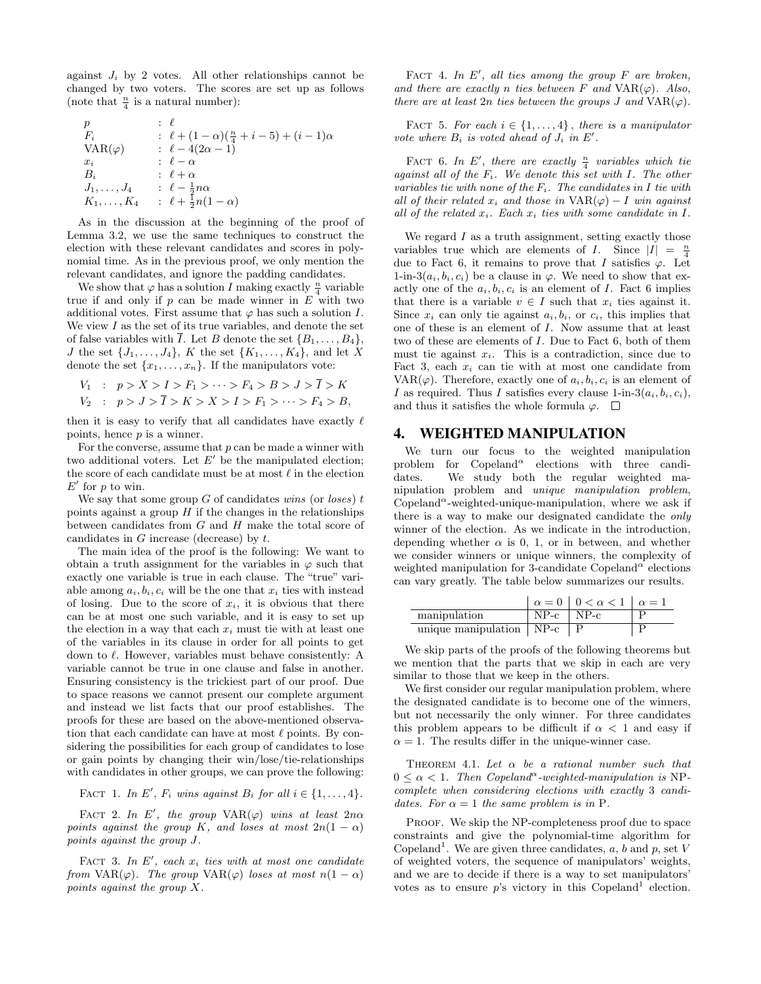against  $J_i$  by 2 votes. All other relationships cannot be changed by two voters. The scores are set up as follows (note that  $\frac{n}{4}$  is a natural number):

$$
\begin{array}{lll}\np & : & \ell \\
F_i & : & \ell + (1 - \alpha)(\frac{n}{4} + i - 5) + (i - 1)\alpha \\
\text{VAR}(\varphi) & : & \ell - 4(2\alpha - 1) \\
x_i & : & \ell - \alpha \\
B_i & : & \ell + \alpha \\
J_1, \ldots, J_4 & : & \ell - \frac{1}{2}n\alpha \\
K_1, \ldots, K_4 & : & \ell + \frac{1}{2}n(1 - \alpha)\n\end{array}
$$

As in the discussion at the beginning of the proof of Lemma 3.2, we use the same techniques to construct the election with these relevant candidates and scores in polynomial time. As in the previous proof, we only mention the relevant candidates, and ignore the padding candidates.

We show that  $\varphi$  has a solution I making exactly  $\frac{n}{4}$  variable true if and only if  $p$  can be made winner in  $E$  with two additional votes. First assume that  $\varphi$  has such a solution I. We view  $I$  as the set of its true variables, and denote the set of false variables with  $\overline{I}$ . Let B denote the set  $\{B_1, \ldots, B_4\}$ , J the set  $\{J_1,\ldots,J_4\}$ , K the set  $\{K_1,\ldots,K_4\}$ , and let X denote the set  $\{x_1, \ldots, x_n\}$ . If the manipulators vote:

$$
V_1 : p > X > I > F_1 > \dots > F_4 > B > J > \overline{I} > K
$$
  

$$
V_2 : p > J > \overline{I} > K > X > I > F_1 > \dots > F_4 > B,
$$

then it is easy to verify that all candidates have exactly  $\ell$ points, hence  $p$  is a winner.

For the converse, assume that  $p$  can be made a winner with two additional voters. Let  $E'$  be the manipulated election; the score of each candidate must be at most  $\ell$  in the election  $E'$  for p to win.

We say that some group  $G$  of candidates wins (or loses)  $t$ points against a group  $H$  if the changes in the relationships between candidates from  $G$  and  $H$  make the total score of candidates in  $G$  increase (decrease) by  $t$ .

The main idea of the proof is the following: We want to obtain a truth assignment for the variables in  $\varphi$  such that exactly one variable is true in each clause. The "true" variable among  $a_i, b_i, c_i$  will be the one that  $x_i$  ties with instead of losing. Due to the score of  $x_i$ , it is obvious that there can be at most one such variable, and it is easy to set up the election in a way that each  $x_i$  must tie with at least one of the variables in its clause in order for all points to get down to  $\ell$ . However, variables must behave consistently: A variable cannot be true in one clause and false in another. Ensuring consistency is the trickiest part of our proof. Due to space reasons we cannot present our complete argument and instead we list facts that our proof establishes. The proofs for these are based on the above-mentioned observation that each candidate can have at most  $\ell$  points. By considering the possibilities for each group of candidates to lose or gain points by changing their win/lose/tie-relationships with candidates in other groups, we can prove the following:

FACT 1. In E',  $F_i$  wins against  $B_i$  for all  $i \in \{1, \ldots, 4\}.$ 

FACT 2. In E', the group  $VAR(\varphi)$  wins at least  $2n\alpha$ points against the group K, and loses at most  $2n(1 - \alpha)$ points against the group J.

FACT 3. In  $E'$ , each  $x_i$  ties with at most one candidate from VAR( $\varphi$ ). The group VAR( $\varphi$ ) loses at most  $n(1-\alpha)$ points against the group X.

FACT 4. In  $E'$ , all ties among the group  $F$  are broken, and there are exactly n ties between F and  $VAR(\varphi)$ . Also, there are at least  $2n$  ties between the groups  $J$  and  $VAR(\varphi)$ .

FACT 5. For each  $i \in \{1, \ldots, 4\}$ , there is a manipulator vote where  $B_i$  is voted ahead of  $J_i$  in  $E'$ .

FACT 6. In E', there are exactly  $\frac{n}{4}$  variables which tie against all of the  $F_i$ . We denote this set with I. The other variables tie with none of the  $F_i$ . The candidates in I tie with all of their related  $x_i$  and those in  $VAR(\varphi) - I$  win against all of the related  $x_i$ . Each  $x_i$  ties with some candidate in I.

We regard  $I$  as a truth assignment, setting exactly those variables true which are elements of *I*. Since  $|I| = \frac{n}{4}$ due to Fact 6, it remains to prove that I satisfies  $\varphi$ . Let 1-in-3( $a_i, b_i, c_i$ ) be a clause in  $\varphi$ . We need to show that exactly one of the  $a_i, b_i, c_i$  is an element of I. Fact 6 implies that there is a variable  $v \in I$  such that  $x_i$  ties against it. Since  $x_i$  can only tie against  $a_i, b_i$ , or  $c_i$ , this implies that one of these is an element of I. Now assume that at least two of these are elements of I. Due to Fact 6, both of them must tie against  $x_i$ . This is a contradiction, since due to Fact 3, each  $x_i$  can tie with at most one candidate from VAR( $\varphi$ ). Therefore, exactly one of  $a_i, b_i, c_i$  is an element of I as required. Thus I satisfies every clause 1-in-3 $(a_i, b_i, c_i)$ , and thus it satisfies the whole formula  $\varphi$ .  $\square$ 

#### 4. WEIGHTED MANIPULATION

We turn our focus to the weighted manipulation problem for  $Copeland^{\alpha}$  elections with three candidates. We study both the regular weighted manipulation problem and unique manipulation problem, Copeland<sup> $\alpha$ </sup>-weighted-unique-manipulation, where we ask if there is a way to make our designated candidate the only winner of the election. As we indicate in the introduction, depending whether  $\alpha$  is 0, 1, or in between, and whether we consider winners or unique winners, the complexity of weighted manipulation for 3-candidate Copeland<sup> $\alpha$ </sup> elections can vary greatly. The table below summarizes our results.

|                                  |                 | $\alpha = 0$   $0 < \alpha < 1$   $\alpha = 1$ |  |
|----------------------------------|-----------------|------------------------------------------------|--|
| manipulation                     | $NP-c$   $NP-c$ |                                                |  |
| unique manipulation $\vert$ NP-c |                 |                                                |  |

We skip parts of the proofs of the following theorems but we mention that the parts that we skip in each are very similar to those that we keep in the others.

We first consider our regular manipulation problem, where the designated candidate is to become one of the winners, but not necessarily the only winner. For three candidates this problem appears to be difficult if  $\alpha < 1$  and easy if  $\alpha = 1$ . The results differ in the unique-winner case.

THEOREM 4.1. Let  $\alpha$  be a rational number such that  $0 \leq \alpha < 1$ . Then Copeland<sup> $\alpha$ </sup>-weighted-manipulation is NPcomplete when considering elections with exactly 3 candidates. For  $\alpha = 1$  the same problem is in P.

PROOF. We skip the NP-completeness proof due to space constraints and give the polynomial-time algorithm for Copeland<sup>1</sup>. We are given three candidates,  $a, b$  and  $p$ , set V of weighted voters, the sequence of manipulators' weights, and we are to decide if there is a way to set manipulators' votes as to ensure  $p$ 's victory in this Copeland<sup>1</sup> election.